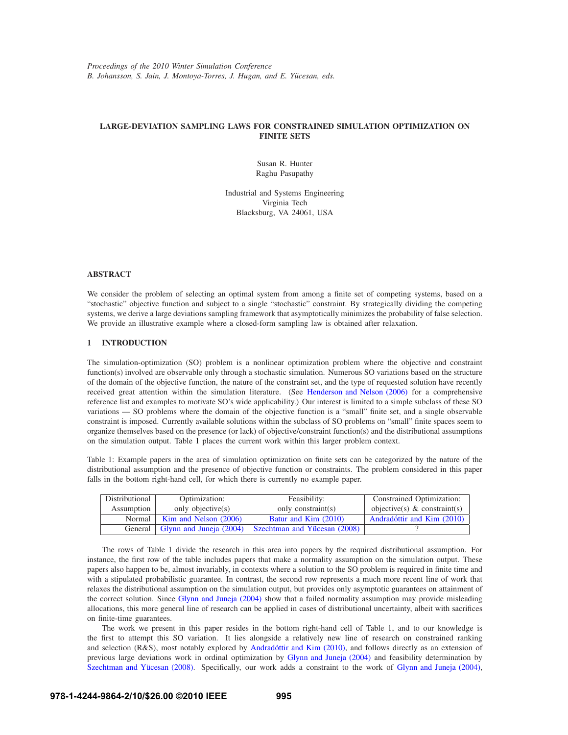# **LARGE-DEVIATION SAMPLING LAWS FOR CONSTRAINED SIMULATION OPTIMIZATION ON FINITE SETS**

Susan R. Hunter Raghu Pasupathy

Industrial and Systems Engineering Virginia Tech Blacksburg, VA 24061, USA

### **ABSTRACT**

We consider the problem of selecting an optimal system from among a finite set of competing systems, based on a "stochastic" objective function and subject to a single "stochastic" constraint. By strategically dividing the competing systems, we derive a large deviations sampling framework that asymptotically minimizes the probability of false selection. We provide an illustrative example where a closed-form sampling law is obtained after relaxation.

# **1 INTRODUCTION**

The simulation-optimization (SO) problem is a nonlinear optimization problem where the objective and constraint function(s) involved are observable only through a stochastic simulation. Numerous SO variations based on the structure of the domain of the objective function, the nature of the constraint set, and the type of requested solution have recently received great attention within the simulation literature. (See Henderson and Nelson (2006) for a comprehensive reference list and examples to motivate SO's wide applicability.) Our interest is limited to a simple subclass of these SO variations — SO problems where the domain of the objective function is a "small" finite set, and a single observable constraint is imposed. Currently available solutions within the subclass of SO problems on "small" finite spaces seem to organize themselves based on the presence (or lack) of objective/constraint function(s) and the distributional assumptions on the simulation output. Table 1 places the current work within this larger problem context.

Table 1: Example papers in the area of simulation optimization on finite sets can be categorized by the nature of the distributional assumption and the presence of objective function or constraints. The problem considered in this paper falls in the bottom right-hand cell, for which there is currently no example paper.

| Distributional | Optimization:                     | Feasibility:                 | Constrained Optimization:       |
|----------------|-----------------------------------|------------------------------|---------------------------------|
| Assumption     | only objective(s)                 | only constraint(s)           | objective(s) $\&$ constraint(s) |
| Normal         | Kim and Nelson (2006)             | Batur and Kim (2010)         | Andradóttir and Kim (2010)      |
|                | General   Glynn and Juneja (2004) | Szechtman and Yücesan (2008) |                                 |

The rows of Table 1 divide the research in this area into papers by the required distributional assumption. For instance, the first row of the table includes papers that make a normality assumption on the simulation output. These papers also happen to be, almost invariably, in contexts where a solution to the SO problem is required in finite time and with a stipulated probabilistic guarantee. In contrast, the second row represents a much more recent line of work that relaxes the distributional assumption on the simulation output, but provides only asymptotic guarantees on attainment of the correct solution. Since Glynn and Juneja (2004) show that a failed normality assumption may provide misleading allocations, this more general line of research can be applied in cases of distributional uncertainty, albeit with sacrifices on finite-time guarantees.

The work we present in this paper resides in the bottom right-hand cell of Table 1, and to our knowledge is the first to attempt this SO variation. It lies alongside a relatively new line of research on constrained ranking and selection (R&S), most notably explored by Andradóttir and Kim (2010), and follows directly as an extension of previous large deviations work in ordinal optimization by Glynn and Juneja (2004) and feasibility determination by Szechtman and Yücesan (2008). Specifically, our work adds a constraint to the work of Glynn and Juneja (2004),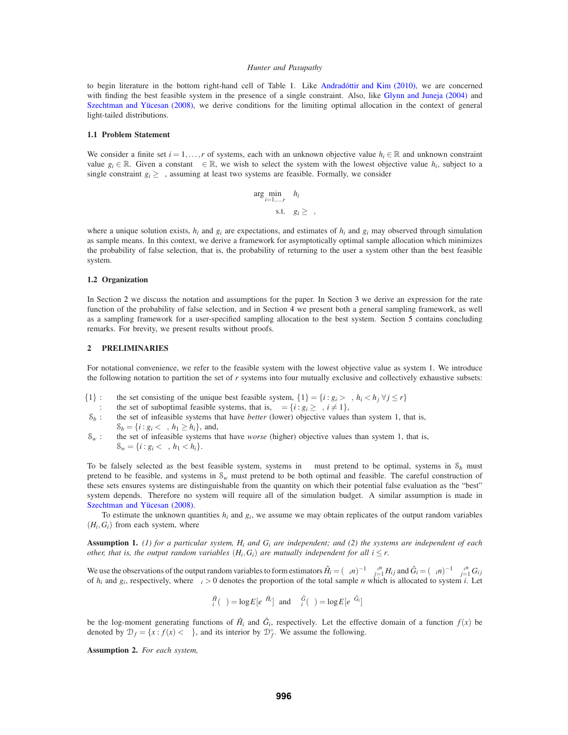to begin literature in the bottom right-hand cell of Table 1. Like Andradottir and Kim (2010), we are concerned with finding the best feasible system in the presence of a single constraint. Also, like Glynn and Juneja (2004) and Szechtman and Yücesan (2008), we derive conditions for the limiting optimal allocation in the context of general light-tailed distributions.

#### **1.1 Problem Statement**

We consider a finite set  $i = 1, \ldots, r$  of systems, each with an unknown objective value  $h_i \in \mathbb{R}$  and unknown constraint value  $g_i \in \mathbb{R}$ . Given a constant  $\gamma \in \mathbb{R}$ , we wish to select the system with the lowest objective value  $h_i$ , subject to a single constraint  $g_i \ge \gamma$ , assuming at least two systems are feasible. Formally, we consider

$$
\arg\min_{i=1,\dots,r} h_i
$$
  
s.t.  $g_i \ge \gamma$ ,

where a unique solution exists,  $h_i$  and  $g_i$  are expectations, and estimates of  $h_i$  and  $g_i$  may observed through simulation as sample means. In this context, we derive a framework for asymptotically optimal sample allocation which minimizes the probability of false selection, that is, the probability of returning to the user a system other than the best feasible system.

# **1.2 Organization**

In Section 2 we discuss the notation and assumptions for the paper. In Section 3 we derive an expression for the rate function of the probability of false selection, and in Section 4 we present both a general sampling framework, as well as a sampling framework for a user-specified sampling allocation to the best system. Section 5 contains concluding remarks. For brevity, we present results without proofs.

#### **2 PRELIMINARIES**

For notational convenience, we refer to the feasible system with the lowest objective value as system 1. We introduce the following notation to partition the set of *r* systems into four mutually exclusive and collectively exhaustive subsets:

- {1} : the set consisting of the unique best feasible system, {1} = {*i* :  $g_i > \gamma$ ,  $h_i < h_j \forall j \le r$ }<br>  $\Gamma$  : the set of suboptimal feasible systems, that is,  $\Gamma = \{i : g_i \ge \gamma, i \ne 1\}$ ,
- 
- Γ : the set of suboptimal feasible systems, that is,  $Γ = {i : g_i ≥ γ, i ≠ 1},$ <br>  $S_b$ : the set of infeasible systems that have *better* (lower) objective values the set of infeasible systems that have *better* (lower) objective values than system 1, that is,  $S<sub>b</sub> = {*i* : *g<sub>i</sub>* < γ, *h<sub>1</sub>* ≥ *h<sub>i</sub>*}, and,$
- $S_w$  : the set of infeasible systems that have *worse* (higher) objective values than system 1, that is,  $\mathcal{S}_w = \{i : g_i < \gamma, h_1 < h_i\}.$

To be falsely selected as the best feasible system, systems in  $\Gamma$  must pretend to be optimal, systems in  $S_b$  must pretend to be feasible, and systems in  $S_w$  must pretend to be both optimal and feasible. The careful construction of these sets ensures systems are distinguishable from the quantity on which their potential false evaluation as the "best" system depends. Therefore no system will require all of the simulation budget. A similar assumption is made in Szechtman and Yücesan (2008).

To estimate the unknown quantities  $h_i$  and  $g_i$ , we assume we may obtain replicates of the output random variables  $(H_i, G_i)$  from each system, where

**Assumption 1.** *(1) for a particular system, Hi and Gi are independent; and (2) the systems are independent of each other, that is, the output random variables*  $(H_i, G_i)$  *are mutually independent for all*  $i \leq r$ *.* 

We use the observations of the output random variables to form estimators  $\hat{H}_i = (\alpha_i n)^{-1} \sum_{j=1}^{\alpha_i n} H_{ij}$  and  $\hat{G}_i = (\alpha_i n)^{-1} \sum_{j=1}^{\alpha_i n} G_{ij}$ of  $h_i$  and  $g_i$ , respectively, where  $\alpha_i > 0$  denotes the proportion of the total sample *n* which is allocated to system *i*. Let

$$
\Lambda_i^{\hat{H}}(\theta) = \log E[e^{\theta \hat{H}_i}] \text{ and } \Lambda_i^{\hat{G}}(\theta) = \log E[e^{\theta \hat{G}_i}]
$$

be the log-moment generating functions of  $\hat{H}_i$  and  $\hat{G}_i$ , respectively. Let the effective domain of a function  $f(x)$  be denoted by  $\mathcal{D}_f = \{x : f(x) < \infty\}$ , and its interior by  $\mathcal{D}_f^{\circ}$ . We assume the following.

**Assumption 2.** *For each system,*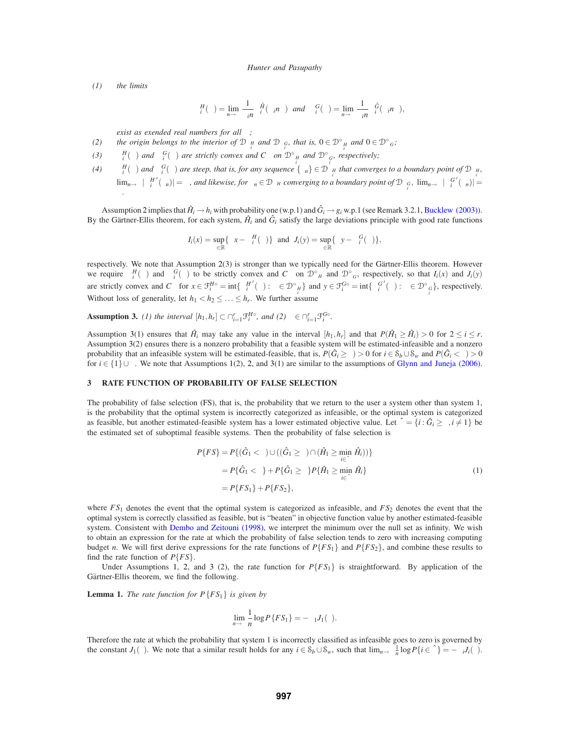*(1) the limits*

$$
\Lambda_i^H(\theta) = \lim_{n \to \infty} \frac{1}{\alpha_i n} \Lambda_i^{\hat{H}}(\alpha_i n \theta) \text{ and } \Lambda_i^G(\theta) = \lim_{n \to \infty} \frac{1}{\alpha_i n} \Lambda_i^{\hat{G}}(\alpha_i n \theta),
$$

*exist as exended real numbers for all* θ*;*

- *(2)* the origin belongs to the interior of  $\mathcal{D}_{\Lambda_i^H}$  and  $\mathcal{D}_{\Lambda_i^G}$ , that is,  $0 \in \mathcal{D}_{\Lambda_i^H}^{\circ}$  and  $0 \in \mathcal{D}_{\Lambda^G}^{\circ}$ ;
- (3)  $\Lambda_i^H(\theta)$  *and*  $\Lambda_i^G(\theta)$  *are strictly convex and*  $C^{\infty}$  *on*  $\mathcal{D}^{\circ}_{\Lambda_i^H}$  *and*  $\mathcal{D}^{\circ}_{\Lambda_i^G}$ *, respectively;*
- *(4)*  $\Lambda_i^H(\theta)$  *and*  $\Lambda_i^G(\theta)$  *are steep, that is, for any sequence*  $\{\theta_n\} \in \mathcal{D}_{\Lambda_i^H}$  *that converges to a boundary point of*  $\mathcal{D}_{\Lambda_i^H}$ *,*  $\lim_{n\to\infty}|\Lambda_i^{H'}(\theta_n)|=\infty$ , and likewise, for  $\theta_n\in\mathcal{D}_{\Lambda^H}$  converging to a boundary point of  $\mathcal{D}_{\Lambda_i^G}$ ,  $\lim_{n\to\infty}|\Lambda_i^{G'}(\theta_n)|=1$ ∞*.*

Assumption 2 implies that  $\hat{H}_i \rightarrow h_i$  with probability one (w.p.1) and  $\hat{G}_i \rightarrow g_i$  w.p.1 (see Remark 3.2.1, Bucklew (2003)). By the Gärtner-Ellis theorem, for each system,  $\hat{H}_i$  and  $\hat{G}_i$  satisfy the large deviations principle with good rate functions

$$
I_i(x) = \sup_{\theta \in \mathbb{R}} \{ \theta x - \Lambda_i^H(\theta) \} \text{ and } J_i(y) = \sup_{\theta \in \mathbb{R}} \{ \theta y - \Lambda_i^G(\theta) \},
$$

respectively. We note that Assumption 2(3) is stronger than we typically need for the Gärtner-Ellis theorem. However we require  $\Lambda_i^H(\theta)$  and  $\Lambda_i^G(\theta)$  to be strictly convex and  $C^{\infty}$  on  $\mathcal{D}^{\circ}_{\Lambda^H}$  and  $\mathcal{D}^{\circ}_{\Lambda^G}$ , respectively, so that  $I_i(x)$  and  $J_i(y)$ are strictly convex and  $C^{\infty}$  for  $x \in \mathcal{F}_i^{H_0} = \text{int} \{ \Lambda_i^{H'}(\theta) : \theta \in \mathcal{D}_{\Lambda_i^H}^{\circ} \}$  and  $y \in \mathcal{F}_i^{G_0} = \text{int} \{ \Lambda_i^{G'}(\theta) : \theta \in \mathcal{D}_{\Lambda_i^G}^{\circ} \}$ , respectively. Without loss of generality, let  $h_1 < h_2 \leq \ldots \leq h_r$ . We further assume

**Assumption 3.** *(1) the interval*  $[h_1, h_r] \subset \bigcap_{i=1}^r \mathcal{F}_i^{H\circ}$ *, and (2)*  $\gamma \in \bigcap_{i=1}^r \mathcal{F}_i^{G\circ}$ *.* 

Assumption 3(1) ensures that  $\hat{H}_i$  may take any value in the interval  $[h_1, h_r]$  and that  $P(\hat{H}_1 \ge \hat{H}_i) > 0$  for  $2 \le i \le r$ . Assumption 3(2) ensures there is a nonzero probability that a feasible system will be estimated-infeasible and a nonzero probability that an infeasible system will be estimated-feasible, that is,  $P(\hat{G}_i \ge \gamma) > 0$  for  $i \in S_b \cup S_w$  and  $P(\hat{G}_i < \gamma) > 0$ for *i* ∈ {1}∪Γ. We note that Assumptions 1(2), 2, and 3(1) are similar to the assumptions of Glynn and Juneja (2006).

# **3 RATE FUNCTION OF PROBABILITY OF FALSE SELECTION**

The probability of false selection (FS), that is, the probability that we return to the user a system other than system 1, is the probability that the optimal system is incorrectly categorized as infeasible, or the optimal system is categorized as feasible, but another estimated-feasible system has a lower estimated objective value. Let  $\hat{\Gamma} = \{i : \hat{G}_i \geq \gamma, i \neq 1\}$  be the estimated set of suboptimal feasible systems. Then the probability of false selection is

$$
P\{FS\} = P\{(\hat{G}_1 < \gamma) \cup ((\hat{G}_1 \geq \gamma) \cap (\hat{H}_1 \geq \min_{i \in \hat{\Gamma}} \hat{H}_i))\}
$$
\n
$$
= P\{\hat{G}_1 < \gamma\} + P\{\hat{G}_1 \geq \gamma\} P\{\hat{H}_1 \geq \min_{i \in \hat{\Gamma}} \hat{H}_i\}
$$
\n
$$
= P\{FS_1\} + P\{FS_2\},\tag{1}
$$

where  $FS_1$  denotes the event that the optimal system is categorized as infeasible, and  $FS_2$  denotes the event that the optimal system is correctly classified as feasible, but is "beaten" in objective function value by another estimated-feasible system. Consistent with Dembo and Zeitouni (1998), we interpret the minimum over the null set as infinity. We wish to obtain an expression for the rate at which the probability of false selection tends to zero with increasing computing budget *n*. We will first derive expressions for the rate functions of  $P\{FS_1\}$  and  $P\{FS_2\}$ , and combine these results to find the rate function of  $P\{FS\}$ .

Under Assumptions 1, 2, and 3 (2), the rate function for  $P\{FS_1\}$  is straightforward. By application of the Gärtner-Ellis theorem, we find the following.

**Lemma 1.** *The rate function for*  $P\{FS_1\}$  *is given by* 

$$
\lim_{n\to\infty}\frac{1}{n}\log P\{FS_1\}=-\alpha_1J_1(\gamma).
$$

Therefore the rate at which the probability that system 1 is incorrectly classified as infeasible goes to zero is governed by the constant *J*<sub>1</sub>(γ). We note that a similar result holds for any  $i \in S_b \cup S_w$ , such that  $\lim_{n \to \infty} \frac{1}{n} \log P\{i \in \hat{\Gamma}\} = -\alpha_i J_i(\gamma)$ .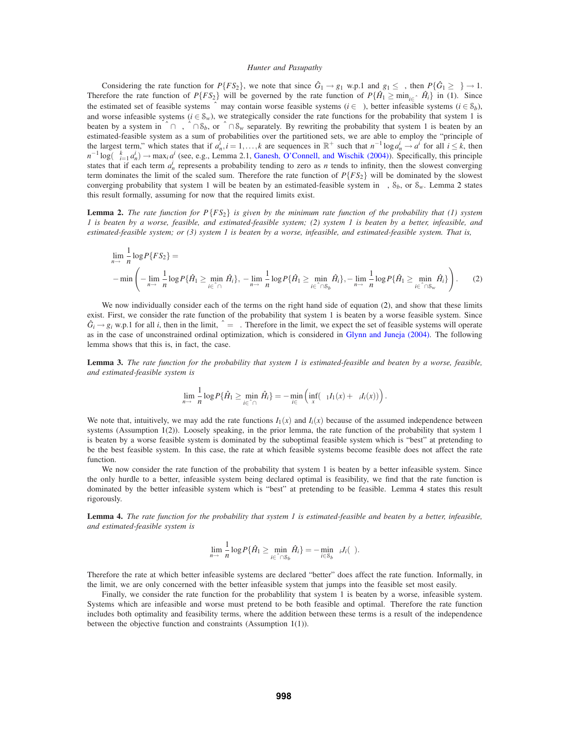Considering the rate function for  $P\{FS_2\}$ , we note that since  $\hat{G}_1 \rightarrow g_1$  w.p.1 and  $g_1 \leq \gamma$ , then  $P\{\hat{G}_1 \geq \gamma\} \rightarrow 1$ . Therefore the rate function of *P*{*FS*<sub>2</sub>} will be governed by the rate function of  $P\{\hat{H}_1 \geq \min_{i \in \hat{\Gamma}} \hat{H}_i\}$  in (1). Since the estimated set of feasible systems  $\hat{\Gamma}$  may contain worse feasible systems ( $i \in \Gamma$ ), better infeasible systems ( $i \in S_b$ ), and worse infeasible systems ( $i \in S_w$ ), we strategically consider the rate functions for the probability that system 1 is beaten by a system in  $\hat{\Gamma} \cap \Gamma$ ,  $\hat{\Gamma} \cap \mathcal{S}_b$ , or  $\hat{\Gamma} \cap \mathcal{S}_w$  separately. By rewriting the probability that system 1 is beaten by an estimated-feasible system as a sum of probabilities over the partitioned sets, we are able to employ the "principle of the largest term," which states that if  $a_n^i$ ,  $i = 1, ..., k$  are sequences in  $\mathbb{R}^+$  such that  $n^{-1} \log a_n^i \to a^i$  for all  $i \leq k$ , then  $n^{-1} \log(\sum_{i=1}^{k} a_i^i) \rightarrow \max_i a^i$  (see, e.g., Lemma 2.1, Ganesh, O'Connell, and Wischik (2004)). Specifically, this principle states that if each term  $a_n^i$  represents a probability tending to zero as *n* tends to infinity, then the slowest converging term dominates the limit of the scaled sum. Therefore the rate function of  $P\{FS_2\}$  will be dominated by the slowest converging probability that system 1 will be beaten by an estimated-feasible system in Γ, S*b*, or S*w*. Lemma 2 states this result formally, assuming for now that the required limits exist.

**Lemma 2.** *The rate function for P*{*FS*2} *is given by the minimum rate function of the probability that (1) system 1 is beaten by a worse, feasible, and estimated-feasible system; (2) system 1 is beaten by a better, infeasible, and estimated-feasible system; or (3) system 1 is beaten by a worse, infeasible, and estimated-feasible system. That is,*

$$
\lim_{n \to \infty} \frac{1}{n} \log P\{FS_2\} =
$$
\n
$$
-\min \left( -\lim_{n \to \infty} \frac{1}{n} \log P\{\hat{H}_1 \ge \min_{i \in \hat{\Gamma} \cap \Gamma} \hat{H}_i\}, -\lim_{n \to \infty} \frac{1}{n} \log P\{\hat{H}_1 \ge \min_{i \in \hat{\Gamma} \cap S_b} \hat{H}_i\}, -\lim_{n \to \infty} \frac{1}{n} \log P\{\hat{H}_1 \ge \min_{i \in \hat{\Gamma} \cap S_w} \hat{H}_i\} \right). \tag{2}
$$

We now individually consider each of the terms on the right hand side of equation (2), and show that these limits exist. First, we consider the rate function of the probability that system 1 is beaten by a worse feasible system. Since  $\hat{G}_i \rightarrow g_i$  w.p.1 for all *i*, then in the limit,  $\hat{\Gamma} = \Gamma$ . Therefore in the limit, we expect the set of feasible systems will operate as in the case of unconstrained ordinal optimization, which is considered in Glynn and Juneja (2004). The following lemma shows that this is, in fact, the case.

**Lemma 3.** *The rate function for the probability that system 1 is estimated-feasible and beaten by a worse, feasible, and estimated-feasible system is*

$$
\lim_{n\to\infty}\frac{1}{n}\log P\{\hat{H}_1\geq \min_{i\in\hat{\Gamma}\cap\Gamma}\hat{H}_i\}=-\min_{i\in\Gamma}\left(\inf_x(\alpha_1I_1(x)+\alpha_iI_i(x))\right).
$$

We note that, intuitively, we may add the rate functions  $I_1(x)$  and  $I_i(x)$  because of the assumed independence between systems (Assumption 1(2)). Loosely speaking, in the prior lemma, the rate function of the probability that system 1 is beaten by a worse feasible system is dominated by the suboptimal feasible system which is "best" at pretending to be the best feasible system. In this case, the rate at which feasible systems become feasible does not affect the rate function.

We now consider the rate function of the probability that system 1 is beaten by a better infeasible system. Since the only hurdle to a better, infeasible system being declared optimal is feasibility, we find that the rate function is dominated by the better infeasible system which is "best" at pretending to be feasible. Lemma 4 states this result rigorously.

**Lemma 4.** *The rate function for the probability that system 1 is estimated-feasible and beaten by a better, infeasible, and estimated-feasible system is*

$$
\lim_{n\to\infty}\frac{1}{n}\log P\{\hat{H}_1\geq \min_{i\in\hat{\Gamma}\cap\mathcal{S}_b}\hat{H}_i\}=-\min_{i\in\mathcal{S}_b}\alpha_iJ_i(\gamma).
$$

Therefore the rate at which better infeasible systems are declared "better" does affect the rate function. Informally, in the limit, we are only concerned with the better infeasible system that jumps into the feasible set most easily.

Finally, we consider the rate function for the probability that system 1 is beaten by a worse, infeasible system. Systems which are infeasible and worse must pretend to be both feasible and optimal. Therefore the rate function includes both optimality and feasibility terms, where the addition between these terms is a result of the independence between the objective function and constraints (Assumption 1(1)).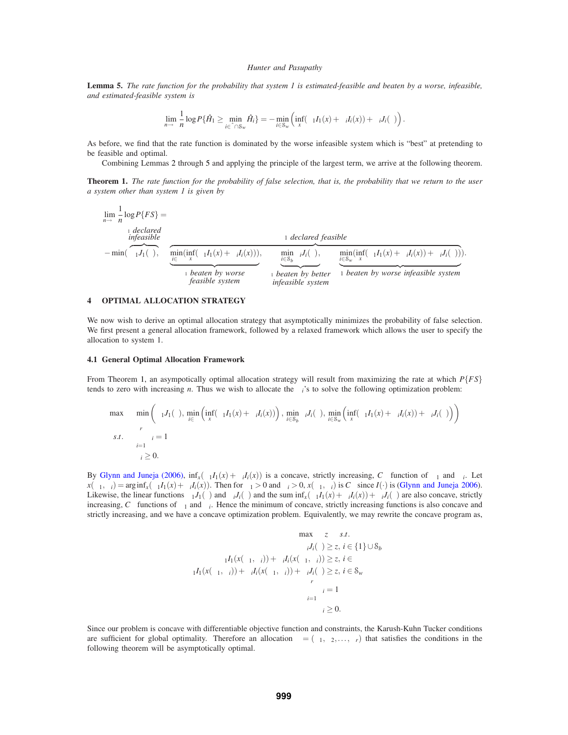**Lemma 5.** *The rate function for the probability that system 1 is estimated-feasible and beaten by a worse, infeasible, and estimated-feasible system is*

$$
\lim_{n\to\infty}\frac{1}{n}\log P\{\hat{H}_1\geq \min_{i\in\hat{\Gamma}\cap\mathcal{S}_w}\hat{H}_i\}=-\min_{i\in\mathcal{S}_w}\left(\inf_x(\alpha_1I_1(x)+\alpha_iI_i(x))+\alpha_iJ_i(\gamma)\right).
$$

As before, we find that the rate function is dominated by the worse infeasible system which is "best" at pretending to be feasible and optimal.

Combining Lemmas 2 through 5 and applying the principle of the largest term, we arrive at the following theorem.

**Theorem 1.** *The rate function for the probability of false selection, that is, the probability that we return to the user a system other than system 1 is given by*

$$
\lim_{n \to \infty} \frac{1}{n} \log P\{FS\} =
$$
\n
$$
-\min(\overbrace{\alpha_1 J_1(\gamma)}^{\text{1}}), \quad \overbrace{\min_{i \in \Gamma} (\inf_{x} (\alpha_1 I_1(x) + \alpha_i I_i(x))))}^{\text{1}}), \quad \overbrace{\min_{i \in S_{\nu}} \alpha_i J_i(\gamma)}^{\text{1}}, \quad \overbrace{\min_{i \in S_{\nu}} \alpha_i J_i(\gamma)}^{\text{1}} \times \overbrace{\max_{i \in S_{\nu}} \alpha_i I_i(\gamma)}^{\text{1}} + \overbrace{\max_{i \in S_{\nu}} \alpha_i I_i(\gamma)}^{\text{2}}.
$$
\n
$$
\lim_{i \to \infty} \overbrace{\max_{i \in S_{\nu}} \alpha_i I_i(\gamma)}^{\text{2}}.
$$
\n
$$
\lim_{i \to \infty} \overbrace{\max_{i \in S_{\nu}} \alpha_i I_i(\gamma)}^{\text{2}}.
$$
\n
$$
\lim_{i \to \infty} \overbrace{\max_{i \in S_{\nu}} \alpha_i I_i(\gamma)}^{\text{2}}.
$$

### **4 OPTIMAL ALLOCATION STRATEGY**

We now wish to derive an optimal allocation strategy that asymptotically minimizes the probability of false selection. We first present a general allocation framework, followed by a relaxed framework which allows the user to specify the allocation to system 1.

#### **4.1 General Optimal Allocation Framework**

From Theorem 1, an asympotically optimal allocation strategy will result from maximizing the rate at which *P*{*FS*} tends to zero with increasing *n*. Thus we wish to allocate the  $\alpha_i$ 's to solve the following optimization problem:

$$
\begin{aligned}\n\max \quad & \min \left( \alpha_1 J_1(\gamma), \min_{i \in \Gamma} \left( \inf_x (\alpha_1 I_1(x) + \alpha_i I_i(x)) \right), \min_{i \in S_b} \alpha_i J_i(\gamma), \min_{i \in S_w} \left( \inf_x (\alpha_1 I_1(x) + \alpha_i I_i(x)) + \alpha_i J_i(\gamma) \right) \right) \\
& s.t. \quad & \sum_{i=1}^r \alpha_i = 1 \\
& \alpha_i \geq 0.\n\end{aligned}
$$

By Glynn and Juneja (2006),  $\inf_x(\alpha_1 I_1(x) + \alpha_i I_i(x))$  is a concave, strictly increasing,  $C^{\infty}$  function of  $\alpha_1$  and  $\alpha_i$ . Let  $x(\alpha_1, \alpha_i) = \arg\inf_x (\alpha_1 I_1(x) + \alpha_i I_i(x))$ . Then for  $\alpha_1 > 0$  and  $\alpha_i > 0$ ,  $x(\alpha_1, \alpha_i)$  is  $C^{\infty}$  since  $I(\cdot)$  is (Glynn and Juneja 2006). Likewise, the linear functions  $\alpha_1 J_1(\gamma)$  and  $\alpha_i J_i(\gamma)$  and the sum  $\inf_x(\alpha_1 I_1(x) + \alpha_i I_i(x)) + \alpha_i J_i(\gamma)$  are also concave, strictly increasing,  $C^{\infty}$  functions of  $\alpha_1$  and  $\alpha_i$ . Hence the minimum of concave, strictly increasing functions is also concave and strictly increasing, and we have a concave optimization problem. Equivalently, we may rewrite the concave program as,

$$
\max \quad z \quad s.t. \\
 \alpha_i J_i(\gamma) \ge z, \ i \in \{1\} \cup \mathcal{S}_b \\
 \alpha_1 I_1(x(\alpha_1, \alpha_i)) + \alpha_i I_i(x(\alpha_1, \alpha_i)) \ge z, \ i \in \Gamma \\
 \alpha_1 I_1(x(\alpha_1, \alpha_i)) + \alpha_i I_i(x(\alpha_1, \alpha_i)) + \alpha_i J_i(\gamma) \ge z, \ i \in \mathcal{S}_w \\
 \sum_{i=1}^r \alpha_i = 1 \\
 \alpha_i \ge 0.
$$

Since our problem is concave with differentiable objective function and constraints, the Karush-Kuhn Tucker conditions are sufficient for global optimality. Therefore an allocation  $\boldsymbol{\alpha} = (\alpha_1, \alpha_2, ..., \alpha_r)$  that satisfies the conditions in the following theorem will be asymptotically optimal.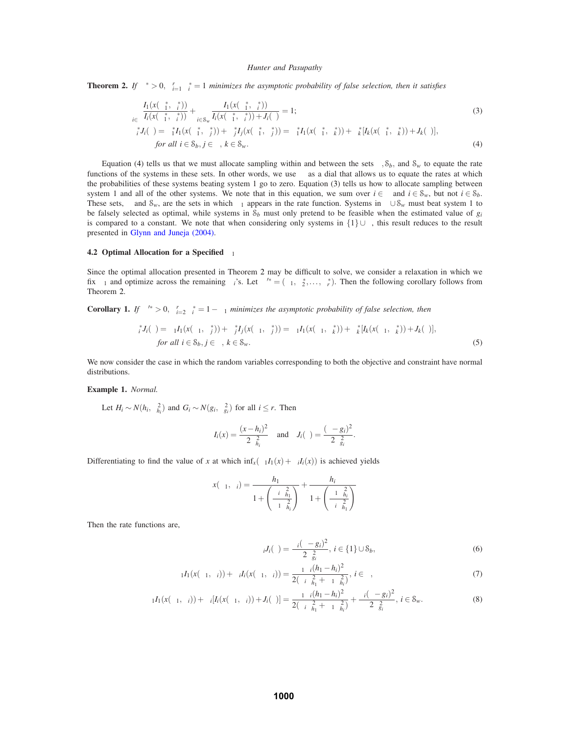**Theorem 2.** *If*  $\alpha^* > 0$ ,  $\sum_{i=1}^r \alpha_i^* = 1$  *minimizes the asymptotic probability of false selection, then it satisfies* 

$$
\sum_{i \in \Gamma} \frac{I_1(x(\alpha_1^*, \alpha_i^*))}{I_i(x(\alpha_1^*, \alpha_i^*))} + \sum_{i \in S_w} \frac{I_1(x(\alpha_1^*, \alpha_i^*))}{I_i(x(\alpha_1^*, \alpha_i^*)) + J_i(\gamma)} = 1;\\
\alpha_i^* J_i(\gamma) = \alpha_1^* I_1(x(\alpha_1^*, \alpha_i^*)) + \alpha_j^* I_j(x(\alpha_1^*, \alpha_i^*)) = \alpha_1^* I_1(x(\alpha_1^*, \alpha_i^*)) + \alpha_k^* [I_k(x(\alpha_1^*, \alpha_i^*)) + J_k(\gamma)],\\
for \ all \ i \in S_b, j \in \Gamma, k \in S_w.
$$
\n(4)

Equation (4) tells us that we must allocate sampling within and between the sets  $\Gamma$ ,  $S_b$ , and  $S_w$  to equate the rate functions of the systems in these sets. In other words, we use  $\alpha$  as a dial that allows us to equate the rates at which the probabilities of these systems beating system 1 go to zero. Equation (3) tells us how to allocate sampling between system 1 and all of the other systems. We note that in this equation, we sum over  $i \in \Gamma$  and  $i \in \mathcal{S}_w$ , but not  $i \in \mathcal{S}_b$ . These sets, Γ and  $S_w$ , are the sets in which  $\alpha_1$  appears in the rate function. Systems in  $\Gamma \cup S_w$  must beat system 1 to be falsely selected as optimal, while systems in  $S_b$  must only pretend to be feasible when the estimated value of  $g_i$ is compared to a constant. We note that when considering only systems in  $\{1\} \cup \Gamma$ , this result reduces to the result presented in Glynn and Juneja (2004).

#### **4.2 Optimal Allocation for a Specified**  $α_1$

Since the optimal allocation presented in Theorem 2 may be difficult to solve, we consider a relaxation in which we fix  $\alpha_1$  and optimize across the remaining  $\alpha_i$ 's. Let  $\boldsymbol{\alpha}'^* = (\alpha_1, \alpha_2^*, \dots, \alpha_r^*)$ . Then the following corollary follows from Theorem 2.

**Corollary 1.** *If*  $\alpha^{i*} > 0$ ,  $\sum_{i=2}^{r} \alpha_i^* = 1 - \alpha_1$  *minimizes the asymptotic probability of false selection, then* 

$$
\alpha_i^* J_i(\gamma) = \alpha_1 I_1(x(\alpha_1, \alpha_j^*)) + \alpha_j^* I_j(x(\alpha_1, \alpha_j^*)) = \alpha_1 I_1(x(\alpha_1, \alpha_k^*)) + \alpha_k^* [I_k(x(\alpha_1, \alpha_k^*)) + J_k(\gamma)],
$$
  
for all  $i \in S_b$ ,  $j \in \Gamma$ ,  $k \in S_w$ . (5)

We now consider the case in which the random variables corresponding to both the objective and constraint have normal distributions.

### **Example 1.** *Normal.*

Let  $H_i \sim N(h_i, \sigma_{h_i}^2)$  and  $G_i \sim N(g_i, \sigma_{g_i}^2)$  for all  $i \leq r$ . Then

$$
I_i(x) = \frac{(x - h_i)^2}{2\sigma_{h_i}^2}
$$
 and  $J_i(\gamma) = \frac{(\gamma - g_i)^2}{2\sigma_{g_i}^2}$ 

Differentiating to find the value of *x* at which  $\inf_x(\alpha_1 I_1(x) + \alpha_i I_i(x))$  is achieved yields

$$
x(\alpha_1, \alpha_i) = \frac{h_1}{1 + \left(\frac{\alpha_i \sigma_{h_1}^2}{\alpha_1 \sigma_{h_i}^2}\right)} + \frac{h_i}{1 + \left(\frac{\alpha_1 \sigma_{h_i}^2}{\alpha_i \sigma_{h_1}^2}\right)}
$$

Then the rate functions are,

$$
\alpha_i J_i(\gamma) = \frac{\alpha_i (\gamma - g_i)^2}{2\sigma_{gi}^2}, \ i \in \{1\} \cup \mathcal{S}_b,\tag{6}
$$

.

$$
\alpha_1 I_1(x(\alpha_1, \alpha_i)) + \alpha_i I_i(x(\alpha_1, \alpha_i)) = \frac{\alpha_1 \alpha_i (h_1 - h_i)^2}{2(\alpha_i \sigma_{h_1}^2 + \alpha_1 \sigma_{h_i}^2)}, \ i \in \Gamma,
$$
\n<sup>(7)</sup>

$$
\alpha_1 I_1(x(\alpha_1,\alpha_i)) + \alpha_i[I_i(x(\alpha_1,\alpha_i)) + J_i(\gamma)] = \frac{\alpha_1 \alpha_i (h_1 - h_i)^2}{2(\alpha_i \sigma_{h_1}^2 + \alpha_1 \sigma_{h_i}^2)} + \frac{\alpha_i (\gamma - g_i)^2}{2\sigma_{g_i}^2}, i \in \mathcal{S}_w.
$$
\n(8)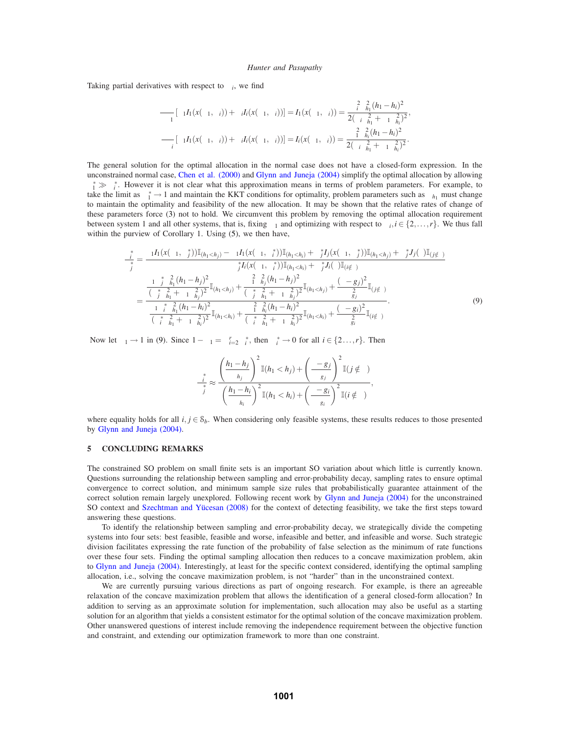Taking partial derivatives with respect to  $\alpha_i$ , we find

$$
\frac{\partial}{\partial \alpha_1} [\alpha_1 I_1(x(\alpha_1, \alpha_i)) + \alpha_i I_i(x(\alpha_1, \alpha_i))] = I_1(x(\alpha_1, \alpha_i)) = \frac{\alpha_i^2 \sigma_{h_1}^2 (h_1 - h_i)^2}{2(\alpha_i \sigma_{h_1}^2 + \alpha_1 \sigma_{h_i}^2)^2},
$$
  

$$
\frac{\partial}{\partial \alpha_i} [\alpha_1 I_1(x(\alpha_1, \alpha_i)) + \alpha_i I_i(x(\alpha_1, \alpha_i))] = I_i(x(\alpha_1, \alpha_i)) = \frac{\alpha_i^2 \sigma_{h_i}^2 (h_1 - h_i)^2}{2(\alpha_i \sigma_{h_1}^2 + \alpha_1 \sigma_{h_i}^2)^2}.
$$

The general solution for the optimal allocation in the normal case does not have a closed-form expression. In the unconstrained normal case, Chen et al. (2000) and Glynn and Juneja (2004) simplify the optimal allocation by allowing  $\alpha_1^* \gg \alpha_i^*$ . However it is not clear what this approximation means in terms of problem parameters. For example, to take the limit as  $\alpha_1^* \to 1$  and maintain the KKT conditions for optimality, problem parameters such as  $\sigma_{h_1}$  must change to maintain the optimality and feasibility of the new allocation. It may be shown that the relative rates of change of these parameters force (3) not to hold. We circumvent this problem by removing the optimal allocation requirement between system 1 and all other systems, that is, fixing  $\alpha_1$  and optimizing with respect to  $\alpha_i, i \in \{2, \ldots, r\}$ . We thus fall within the purview of Corollary 1. Using (5), we then have,

$$
\frac{\alpha_i^*}{\alpha_j^*} = \frac{\alpha_1 I_1(x(\alpha_1, \alpha_j^*))\mathbb{I}_{(h_1 < h_j)} - \alpha_1 I_1(x(\alpha_1, \alpha_i^*))\mathbb{I}_{(h_1 < h_i)} + \alpha_j^* I_j(x(\alpha_1, \alpha_j^*))\mathbb{I}_{(h_1 < h_j)} + \alpha_j^* J_j(\gamma)\mathbb{I}_{(j \notin \Gamma)}}{\alpha_j^* I_i(x(\alpha_1, \alpha_i^*))\mathbb{I}_{(h_1 < h_i)} + \alpha_j^* J_i(\gamma)\mathbb{I}_{(i \notin \Gamma)}} \\
= \frac{\alpha_1 \alpha_j^* \sigma_{h_1}^2 (h_1 - h_j)^2}{(\alpha_j^* \sigma_{h_1}^2 + \alpha_1 \sigma_{h_j}^2)^2} \mathbb{I}_{(h_1 < h_j)} + \frac{\alpha_1^2 \sigma_{h_j}^2 (h_1 - h_j)^2}{(\alpha_j^* \sigma_{h_1}^2 + \alpha_1 \sigma_{h_j}^2)^2} \mathbb{I}_{(h_1 < h_j)} + \frac{(\gamma - g_j)^2}{\sigma_{g_j}^2} \mathbb{I}_{(j \notin \Gamma)}}{\frac{\alpha_1 \alpha_i^* \sigma_{h_1}^2 (h_1 - h_i)^2}{(\alpha_i^* \sigma_{h_1}^2 + \alpha_1 \sigma_{h_i}^2)^2} \mathbb{I}_{(h_1 < h_i)} + \frac{\alpha_1^2 \sigma_{h_i}^2 (h_1 - h_i)^2}{(\alpha_i^* \sigma_{h_1}^2 + \alpha_1 \sigma_{h_i}^2)^2} \mathbb{I}_{(h_1 < h_i)} + \frac{(\gamma - g_i)^2}{\sigma_{g_i}^2} \mathbb{I}_{(i \notin \Gamma)}}{\alpha_g^2}.
$$
\n(9)

Now let  $\alpha_1 \to 1$  in (9). Since  $1 - \alpha_1 = \sum_{i=2}^r \alpha_i^*$ , then  $\alpha_i^* \to 0$  for all  $i \in \{2 \dots, r\}$ . Then

$$
\alpha_i^* \approx \frac{\left(\frac{h_1 - h_j}{\sigma_{h_j}}\right)^2 \mathbb{I}(h_1 < h_j) + \left(\frac{\gamma - g_j}{\sigma_{g_j}}\right)^2 \mathbb{I}(j \notin \Gamma)}{\left(\frac{h_1 - h_i}{\sigma_{h_i}}\right)^2 \mathbb{I}(h_1 < h_i) + \left(\frac{\gamma - g_i}{\sigma_{g_i}}\right)^2 \mathbb{I}(i \notin \Gamma)},
$$

where equality holds for all  $i, j \in S_b$ . When considering only feasible systems, these results reduces to those presented by Glynn and Juneja (2004).

### **5 CONCLUDING REMARKS**

The constrained SO problem on small finite sets is an important SO variation about which little is currently known. Questions surrounding the relationship between sampling and error-probability decay, sampling rates to ensure optimal convergence to correct solution, and minimum sample size rules that probabilistically guarantee attainment of the correct solution remain largely unexplored. Following recent work by Glynn and Juneja (2004) for the unconstrained SO context and Szechtman and Yücesan (2008) for the context of detecting feasibility, we take the first steps toward answering these questions.

To identify the relationship between sampling and error-probability decay, we strategically divide the competing systems into four sets: best feasible, feasible and worse, infeasible and better, and infeasible and worse. Such strategic division facilitates expressing the rate function of the probability of false selection as the minimum of rate functions over these four sets. Finding the optimal sampling allocation then reduces to a concave maximization problem, akin to Glynn and Juneja (2004). Interestingly, at least for the specific context considered, identifying the optimal sampling allocation, i.e., solving the concave maximization problem, is not "harder" than in the unconstrained context.

We are currently pursuing various directions as part of ongoing research. For example, is there an agreeable relaxation of the concave maximization problem that allows the identification of a general closed-form allocation? In addition to serving as an approximate solution for implementation, such allocation may also be useful as a starting solution for an algorithm that yields a consistent estimator for the optimal solution of the concave maximization problem. Other unanswered questions of interest include removing the independence requirement between the objective function and constraint, and extending our optimization framework to more than one constraint.